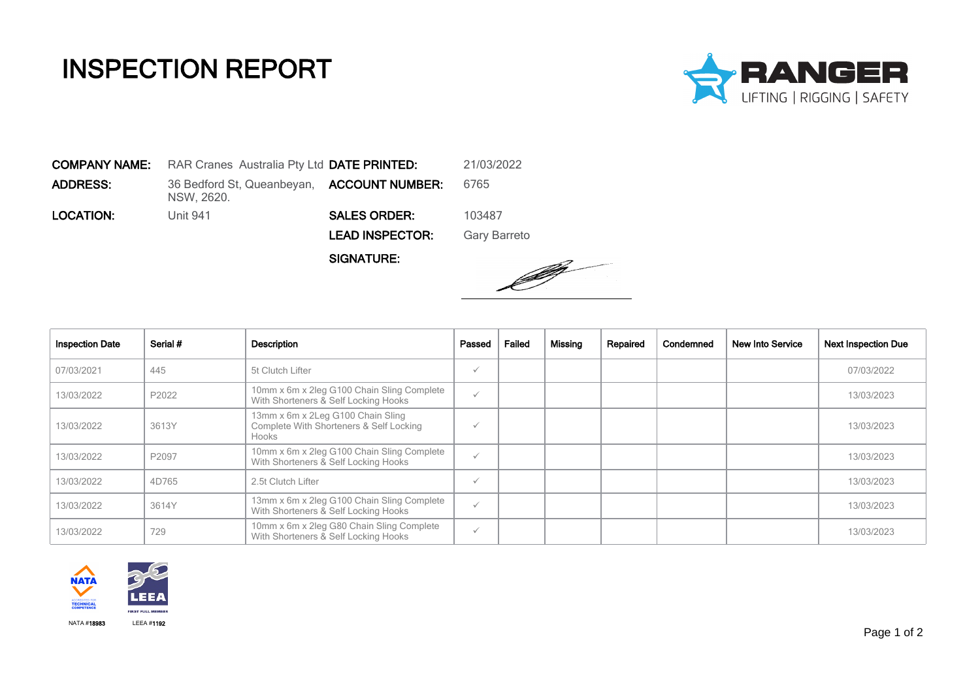## INSPECTION REPORT



COMPANY NAME: RAR Cranes Australia Pty Ltd DATE PRINTED: 21/03/2022 **ADDRESS:** 36 Bedford St, Queanbeyan, **ACCOUNT NUMBER:** 6765 NSW, 2620. **LOCATION:** Unit 941 **SALES ORDER:** 103487 LEAD INSPECTOR: Gary Barreto

SIGNATURE:



| <b>Inspection Date</b> | Serial # | <b>Description</b>                                                                    | Passed       | Failed | Missing | Repaired | Condemned | New Into Service | <b>Next Inspection Due</b> |
|------------------------|----------|---------------------------------------------------------------------------------------|--------------|--------|---------|----------|-----------|------------------|----------------------------|
| 07/03/2021             | 445      | 5t Clutch Lifter                                                                      | $\checkmark$ |        |         |          |           |                  | 07/03/2022                 |
| 13/03/2022             | P2022    | 10mm x 6m x 2leg G100 Chain Sling Complete<br>With Shorteners & Self Locking Hooks    | $\checkmark$ |        |         |          |           |                  | 13/03/2023                 |
| 13/03/2022             | 3613Y    | 13mm x 6m x 2Leg G100 Chain Sling<br>Complete With Shorteners & Self Locking<br>Hooks | $\checkmark$ |        |         |          |           |                  | 13/03/2023                 |
| 13/03/2022             | P2097    | 10mm x 6m x 2leg G100 Chain Sling Complete<br>With Shorteners & Self Locking Hooks    | $\checkmark$ |        |         |          |           |                  | 13/03/2023                 |
| 13/03/2022             | 4D765    | 2.5t Clutch Lifter                                                                    | $\checkmark$ |        |         |          |           |                  | 13/03/2023                 |
| 13/03/2022             | 3614Y    | 13mm x 6m x 2leg G100 Chain Sling Complete<br>With Shorteners & Self Locking Hooks    | $\checkmark$ |        |         |          |           |                  | 13/03/2023                 |
| 13/03/2022             | 729      | 10mm x 6m x 2leg G80 Chain Sling Complete<br>With Shorteners & Self Locking Hooks     | $\checkmark$ |        |         |          |           |                  | 13/03/2023                 |